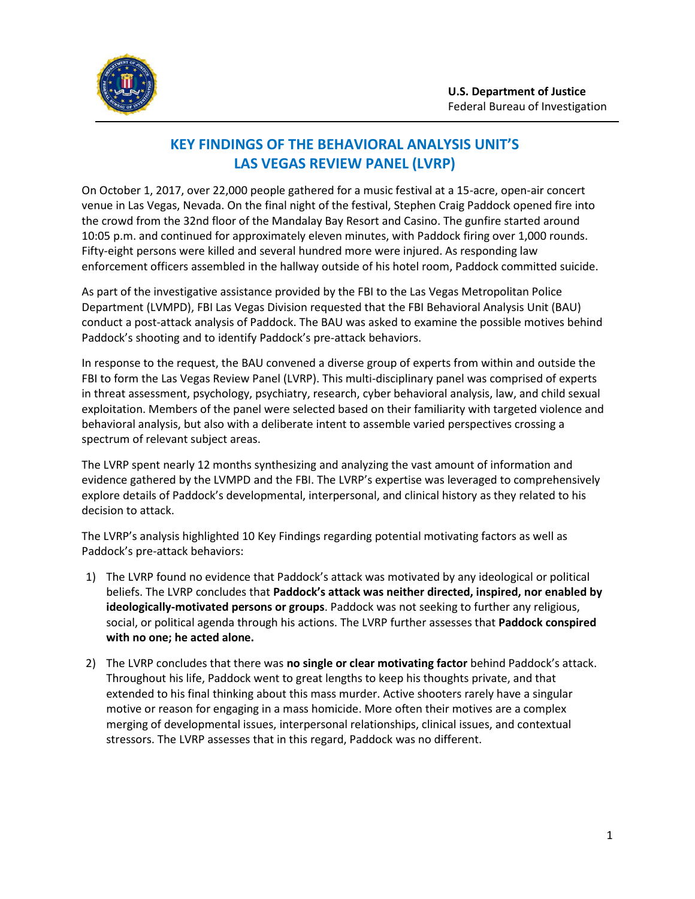

## **KEY FINDINGS OF THE BEHAVIORAL ANALYSIS UNIT'S LAS VEGAS REVIEW PANEL (LVRP)**

On October 1, 2017, over 22,000 people gathered for a music festival at a 15-acre, open-air concert venue in Las Vegas, Nevada. On the final night of the festival, Stephen Craig Paddock opened fire into the crowd from the 32nd floor of the Mandalay Bay Resort and Casino. The gunfire started around 10:05 p.m. and continued for approximately eleven minutes, with Paddock firing over 1,000 rounds. Fifty-eight persons were killed and several hundred more were injured. As responding law enforcement officers assembled in the hallway outside of his hotel room, Paddock committed suicide.

As part of the investigative assistance provided by the FBI to the Las Vegas Metropolitan Police Department (LVMPD), FBI Las Vegas Division requested that the FBI Behavioral Analysis Unit (BAU) conduct a post-attack analysis of Paddock. The BAU was asked to examine the possible motives behind Paddock's shooting and to identify Paddock's pre-attack behaviors.

In response to the request, the BAU convened a diverse group of experts from within and outside the FBI to form the Las Vegas Review Panel (LVRP). This multi-disciplinary panel was comprised of experts in threat assessment, psychology, psychiatry, research, cyber behavioral analysis, law, and child sexual exploitation. Members of the panel were selected based on their familiarity with targeted violence and behavioral analysis, but also with a deliberate intent to assemble varied perspectives crossing a spectrum of relevant subject areas.

The LVRP spent nearly 12 months synthesizing and analyzing the vast amount of information and evidence gathered by the LVMPD and the FBI. The LVRP's expertise was leveraged to comprehensively explore details of Paddock's developmental, interpersonal, and clinical history as they related to his decision to attack.

The LVRP's analysis highlighted 10 Key Findings regarding potential motivating factors as well as Paddock's pre-attack behaviors:

- 1) The LVRP found no evidence that Paddock's attack was motivated by any ideological or political beliefs. The LVRP concludes that **Paddock's attack was neither directed, inspired, nor enabled by ideologically-motivated persons or groups**. Paddock was not seeking to further any religious, social, or political agenda through his actions. The LVRP further assesses that **Paddock conspired with no one; he acted alone.**
- 2) The LVRP concludes that there was **no single or clear motivating factor** behind Paddock's attack. Throughout his life, Paddock went to great lengths to keep his thoughts private, and that extended to his final thinking about this mass murder. Active shooters rarely have a singular motive or reason for engaging in a mass homicide. More often their motives are a complex merging of developmental issues, interpersonal relationships, clinical issues, and contextual stressors. The LVRP assesses that in this regard, Paddock was no different.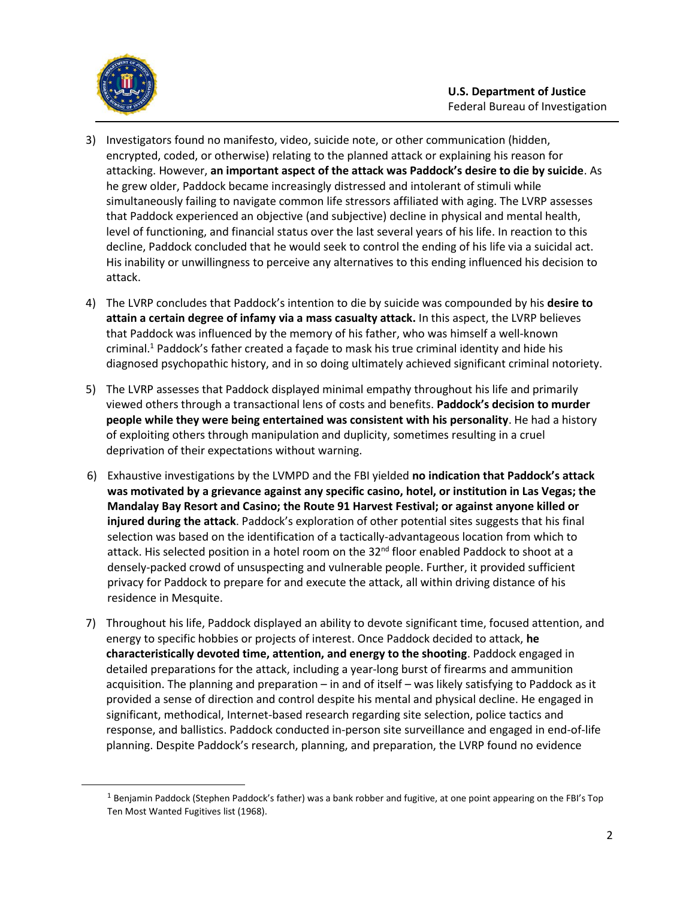

 $\overline{\phantom{a}}$ 

- 3) Investigators found no manifesto, video, suicide note, or other communication (hidden, encrypted, coded, or otherwise) relating to the planned attack or explaining his reason for attacking. However, **an important aspect of the attack was Paddock's desire to die by suicide**. As he grew older, Paddock became increasingly distressed and intolerant of stimuli while simultaneously failing to navigate common life stressors affiliated with aging. The LVRP assesses that Paddock experienced an objective (and subjective) decline in physical and mental health, level of functioning, and financial status over the last several years of his life. In reaction to this decline, Paddock concluded that he would seek to control the ending of his life via a suicidal act. His inability or unwillingness to perceive any alternatives to this ending influenced his decision to attack.
- 4) The LVRP concludes that Paddock's intention to die by suicide was compounded by his **desire to attain a certain degree of infamy via a mass casualty attack.** In this aspect, the LVRP believes that Paddock was influenced by the memory of his father, who was himself a well-known criminal. <sup>1</sup> Paddock's father created a façade to mask his true criminal identity and hide his diagnosed psychopathic history, and in so doing ultimately achieved significant criminal notoriety.
- 5) The LVRP assesses that Paddock displayed minimal empathy throughout his life and primarily viewed others through a transactional lens of costs and benefits. **Paddock's decision to murder people while they were being entertained was consistent with his personality**. He had a history of exploiting others through manipulation and duplicity, sometimes resulting in a cruel deprivation of their expectations without warning.
- 6) Exhaustive investigations by the LVMPD and the FBI yielded **no indication that Paddock's attack was motivated by a grievance against any specific casino, hotel, or institution in Las Vegas; the Mandalay Bay Resort and Casino; the Route 91 Harvest Festival; or against anyone killed or injured during the attack**. Paddock's exploration of other potential sites suggests that his final selection was based on the identification of a tactically-advantageous location from which to attack. His selected position in a hotel room on the  $32<sup>nd</sup>$  floor enabled Paddock to shoot at a densely-packed crowd of unsuspecting and vulnerable people. Further, it provided sufficient privacy for Paddock to prepare for and execute the attack, all within driving distance of his residence in Mesquite.
- 7) Throughout his life, Paddock displayed an ability to devote significant time, focused attention, and energy to specific hobbies or projects of interest. Once Paddock decided to attack, **he characteristically devoted time, attention, and energy to the shooting**. Paddock engaged in detailed preparations for the attack, including a year-long burst of firearms and ammunition acquisition. The planning and preparation – in and of itself – was likely satisfying to Paddock as it provided a sense of direction and control despite his mental and physical decline. He engaged in significant, methodical, Internet-based research regarding site selection, police tactics and response, and ballistics. Paddock conducted in-person site surveillance and engaged in end-of-life planning. Despite Paddock's research, planning, and preparation, the LVRP found no evidence

 $1$  Benjamin Paddock (Stephen Paddock's father) was a bank robber and fugitive, at one point appearing on the FBI's Top Ten Most Wanted Fugitives list (1968).